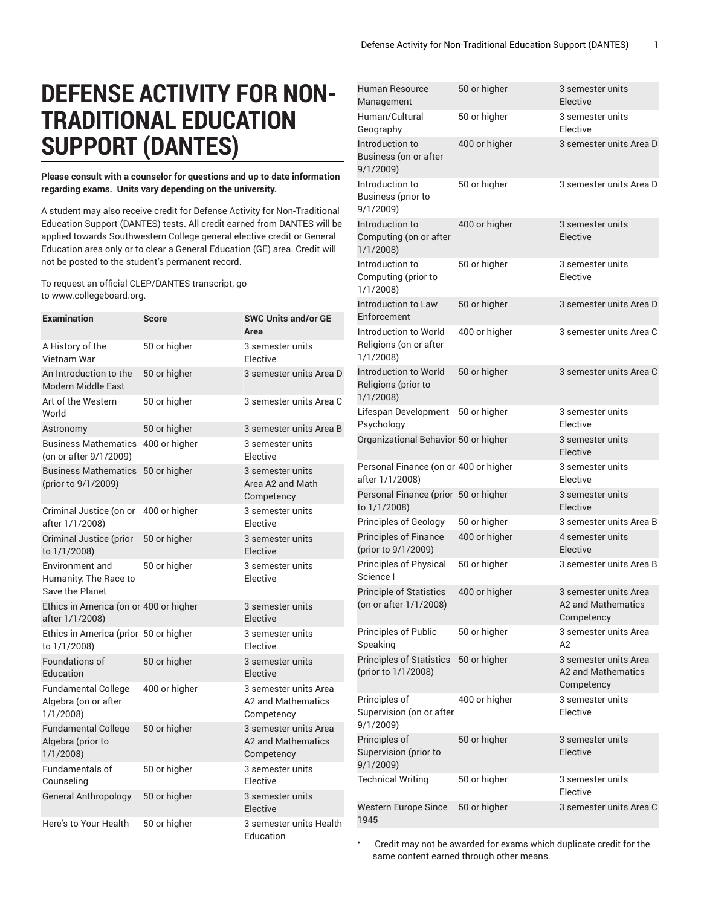## **DEFENSE ACTIVITY FOR NON-TRADITIONAL EDUCATION SUPPORT (DANTES)**

**Please consult with a counselor for questions and up to date information regarding exams. Units vary depending on the university.**

A student may also receive credit for Defense Activity for Non-Traditional Education Support (DANTES) tests. All credit earned from DANTES will be applied towards Southwestern College general elective credit or General Education area only or to clear a General Education (GE) area. Credit will not be posted to the student's permanent record.

To request an official CLEP/DANTES transcript, go to www.collegeboard.org.

| <b>Examination</b>                                             | <b>Score</b>  | <b>SWC Units and/or GE</b><br>Area                        |
|----------------------------------------------------------------|---------------|-----------------------------------------------------------|
| A History of the<br>Vietnam War                                | 50 or higher  | 3 semester units<br>Elective                              |
| An Introduction to the<br><b>Modern Middle East</b>            | 50 or higher  | 3 semester units Area D                                   |
| Art of the Western<br>World                                    | 50 or higher  | 3 semester units Area C                                   |
| Astronomy                                                      | 50 or higher  | 3 semester units Area B                                   |
| <b>Business Mathematics</b><br>(on or after 9/1/2009)          | 400 or higher | 3 semester units<br>Flective                              |
| Business Mathematics 50 or higher<br>(prior to 9/1/2009)       |               | 3 semester units<br>Area A2 and Math<br>Competency        |
| Criminal Justice (on or<br>after 1/1/2008)                     | 400 or higher | 3 semester units<br>Elective                              |
| Criminal Justice (prior<br>to 1/1/2008)                        | 50 or higher  | 3 semester units<br>Elective                              |
| Environment and<br>Humanity: The Race to<br>Save the Planet    | 50 or higher  | 3 semester units<br>Elective                              |
| Ethics in America (on or 400 or higher<br>after $1/1/2008$ )   |               | 3 semester units<br>Elective                              |
| Ethics in America (prior 50 or higher<br>to 1/1/2008)          |               | 3 semester units<br>Elective                              |
| Foundations of<br>Education                                    | 50 or higher  | 3 semester units<br>Elective                              |
| <b>Fundamental College</b><br>Algebra (on or after<br>1/1/2008 | 400 or higher | 3 semester units Area<br>A2 and Mathematics<br>Competency |
| <b>Fundamental College</b><br>Algebra (prior to<br>1/1/2008    | 50 or higher  | 3 semester units Area<br>A2 and Mathematics<br>Competency |
| Fundamentals of<br>Counseling                                  | 50 or higher  | 3 semester units<br>Elective                              |
| <b>General Anthropology</b>                                    | 50 or higher  | 3 semester units<br>Elective                              |
| Here's to Your Health                                          | 50 or higher  | 3 semester units Health<br>Education                      |

| Human Resource<br>Management                                | 50 or higher  | 3 semester units<br>Elective                                     |
|-------------------------------------------------------------|---------------|------------------------------------------------------------------|
| Human/Cultural<br>Geography                                 | 50 or higher  | 3 semester units<br>Elective                                     |
| Introduction to<br>Business (on or after<br>9/1/2009        | 400 or higher | 3 semester units Area D                                          |
| Introduction to<br>Business (prior to<br>9/1/2009)          | 50 or higher  | 3 semester units Area D                                          |
| Introduction to<br>Computing (on or after<br>1/1/2008       | 400 or higher | 3 semester units<br>Elective                                     |
| Introduction to<br>Computing (prior to<br>1/1/2008          | 50 or higher  | 3 semester units<br>Elective                                     |
| Introduction to Law<br>Enforcement                          | 50 or higher  | 3 semester units Area D                                          |
| Introduction to World<br>Religions (on or after<br>1/1/2008 | 400 or higher | 3 semester units Area C                                          |
| Introduction to World<br>Religions (prior to<br>1/1/2008    | 50 or higher  | 3 semester units Area C                                          |
| Lifespan Development<br>Psychology                          | 50 or higher  | 3 semester units<br>Elective                                     |
| Organizational Behavior 50 or higher                        |               | 3 semester units<br>Elective                                     |
| Personal Finance (on or 400 or higher<br>after 1/1/2008)    |               | 3 semester units<br>Elective                                     |
| Personal Finance (prior 50 or higher<br>to $1/1/2008$ )     |               | 3 semester units<br>Elective                                     |
| <b>Principles of Geology</b>                                | 50 or higher  | 3 semester units Area B                                          |
| <b>Principles of Finance</b><br>(prior to 9/1/2009)         | 400 or higher | 4 semester units<br>Elective                                     |
| Principles of Physical<br>Science I                         | 50 or higher  | 3 semester units Area B                                          |
| Principle of Statistics<br>(on or after 1/1/2008)           | 400 or higher | 3 semester units Area<br><b>A2 and Mathematics</b><br>Competency |
| Principles of Public<br>Speaking                            | 50 or higher  | 3 semester units Area<br>A2                                      |
| <b>Principles of Statistics</b><br>(prior to 1/1/2008)      | 50 or higher  | 3 semester units Area<br>A2 and Mathematics<br>Competency        |
| Principles of<br>Supervision (on or after<br>9/1/2009)      | 400 or higher | 3 semester units<br>Elective                                     |
| Principles of<br>Supervision (prior to<br>9/1/2009)         | 50 or higher  | 3 semester units<br>Elective                                     |
| <b>Technical Writing</b>                                    | 50 or higher  | 3 semester units<br>Elective                                     |
| Western Europe Since<br>1945                                | 50 or higher  | 3 semester units Area C                                          |

• Credit may not be awarded for exams which duplicate credit for the same content earned through other means.